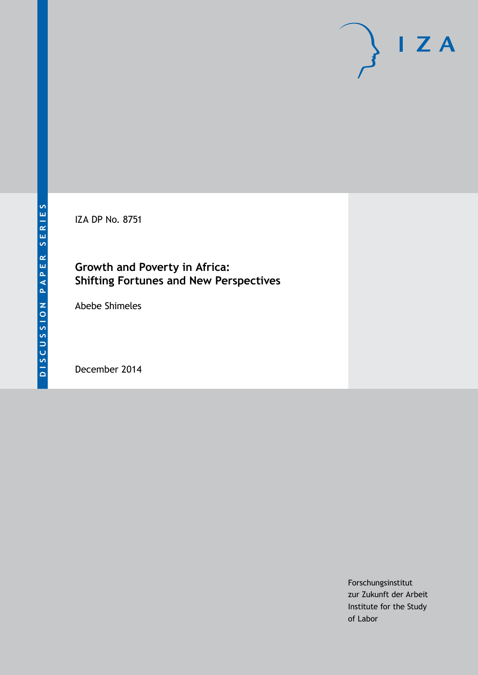IZA DP No. 8751

# **Growth and Poverty in Africa: Shifting Fortunes and New Perspectives**

Abebe Shimeles

December 2014

Forschungsinstitut zur Zukunft der Arbeit Institute for the Study of Labor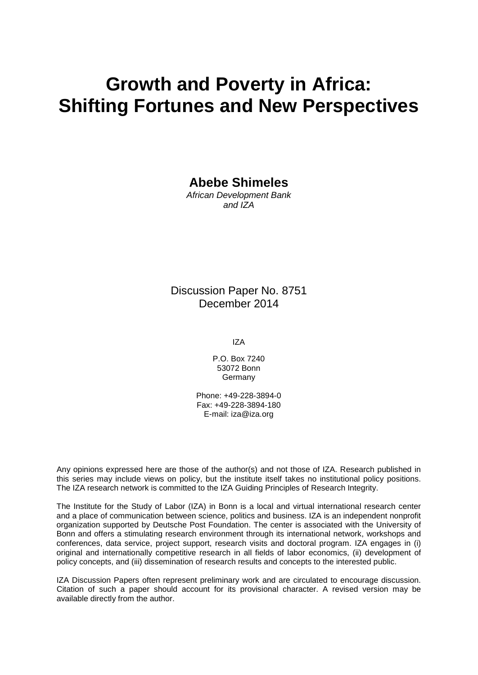# **Growth and Poverty in Africa: Shifting Fortunes and New Perspectives**

**Abebe Shimeles**

*African Development Bank and IZA*

# Discussion Paper No. 8751 December 2014

IZA

P.O. Box 7240 53072 Bonn Germany

Phone: +49-228-3894-0 Fax: +49-228-3894-180 E-mail: [iza@iza.org](mailto:iza@iza.org)

Any opinions expressed here are those of the author(s) and not those of IZA. Research published in this series may include views on policy, but the institute itself takes no institutional policy positions. The IZA research network is committed to the IZA Guiding Principles of Research Integrity.

The Institute for the Study of Labor (IZA) in Bonn is a local and virtual international research center and a place of communication between science, politics and business. IZA is an independent nonprofit organization supported by Deutsche Post Foundation. The center is associated with the University of Bonn and offers a stimulating research environment through its international network, workshops and conferences, data service, project support, research visits and doctoral program. IZA engages in (i) original and internationally competitive research in all fields of labor economics, (ii) development of policy concepts, and (iii) dissemination of research results and concepts to the interested public.

<span id="page-1-0"></span>IZA Discussion Papers often represent preliminary work and are circulated to encourage discussion. Citation of such a paper should account for its provisional character. A revised version may be available directly from the author.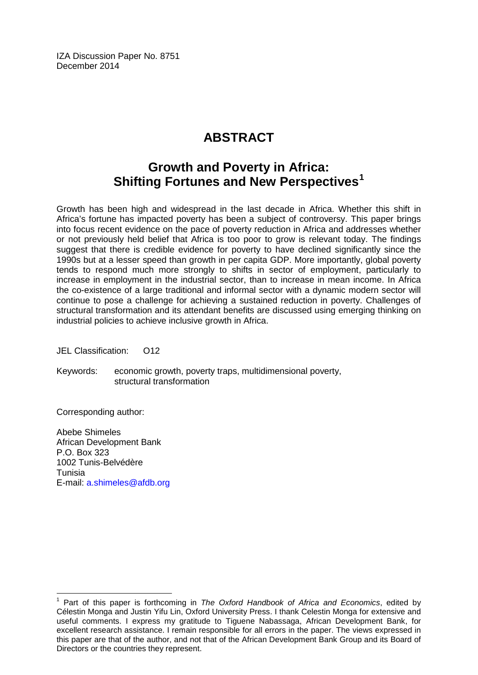IZA Discussion Paper No. 8751 December 2014

# **ABSTRACT**

# **Growth and Poverty in Africa: Shifting Fortunes and New Perspectives[1](#page-1-0)**

Growth has been high and widespread in the last decade in Africa. Whether this shift in Africa's fortune has impacted poverty has been a subject of controversy. This paper brings into focus recent evidence on the pace of poverty reduction in Africa and addresses whether or not previously held belief that Africa is too poor to grow is relevant today. The findings suggest that there is credible evidence for poverty to have declined significantly since the 1990s but at a lesser speed than growth in per capita GDP. More importantly, global poverty tends to respond much more strongly to shifts in sector of employment, particularly to increase in employment in the industrial sector, than to increase in mean income. In Africa the co-existence of a large traditional and informal sector with a dynamic modern sector will continue to pose a challenge for achieving a sustained reduction in poverty. Challenges of structural transformation and its attendant benefits are discussed using emerging thinking on industrial policies to achieve inclusive growth in Africa.

JEL Classification: O12

Keywords: economic growth, poverty traps, multidimensional poverty, structural transformation

Corresponding author:

Abebe Shimeles African Development Bank P.O. Box 323 1002 Tunis-Belvédère Tunisia E-mail: [a.shimeles@afdb.org](mailto:a.shimeles@afdb.org)

<sup>1</sup> Part of this paper is forthcoming in *The Oxford Handbook of Africa and Economics*, edited by Célestin Monga and Justin Yifu Lin, Oxford University Press. I thank Celestin Monga for extensive and useful comments. I express my gratitude to Tiguene Nabassaga, African Development Bank, for excellent research assistance. I remain responsible for all errors in the paper. The views expressed in this paper are that of the author, and not that of the African Development Bank Group and its Board of Directors or the countries they represent.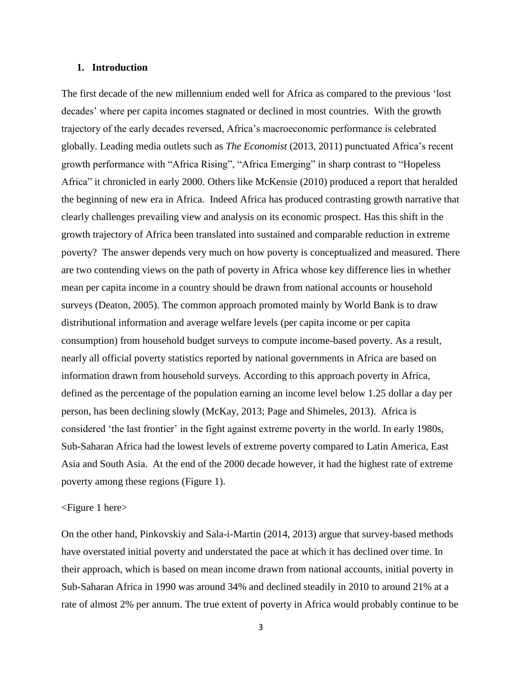#### **1. Introduction**

The first decade of the new millennium ended well for Africa as compared to the previous 'lost decades' where per capita incomes stagnated or declined in most countries. With the growth trajectory of the early decades reversed, Africa's macroeconomic performance is celebrated globally. Leading media outlets such as *The Economist* (2013, 2011) punctuated Africa's recent growth performance with "Africa Rising", "Africa Emerging" in sharp contrast to "Hopeless Africa" it chronicled in early 2000. Others like McKensie (2010) produced a report that heralded the beginning of new era in Africa. Indeed Africa has produced contrasting growth narrative that clearly challenges prevailing view and analysis on its economic prospect. Has this shift in the growth trajectory of Africa been translated into sustained and comparable reduction in extreme poverty? The answer depends very much on how poverty is conceptualized and measured. There are two contending views on the path of poverty in Africa whose key difference lies in whether mean per capita income in a country should be drawn from national accounts or household surveys (Deaton, 2005). The common approach promoted mainly by World Bank is to draw distributional information and average welfare levels (per capita income or per capita consumption) from household budget surveys to compute income-based poverty. As a result, nearly all official poverty statistics reported by national governments in Africa are based on information drawn from household surveys. According to this approach poverty in Africa, defined as the percentage of the population earning an income level below 1.25 dollar a day per person, has been declining slowly (McKay, 2013; Page and Shimeles, 2013). Africa is considered 'the last frontier' in the fight against extreme poverty in the world. In early 1980s, Sub-Saharan Africa had the lowest levels of extreme poverty compared to Latin America, East Asia and South Asia. At the end of the 2000 decade however, it had the highest rate of extreme poverty among these regions (Figure 1).

#### <Figure 1 here>

On the other hand, Pinkovskiy and Sala-i-Martin (2014, 2013) argue that survey-based methods have overstated initial poverty and understated the pace at which it has declined over time. In their approach, which is based on mean income drawn from national accounts, initial poverty in Sub-Saharan Africa in 1990 was around 34% and declined steadily in 2010 to around 21% at a rate of almost 2% per annum. The true extent of poverty in Africa would probably continue to be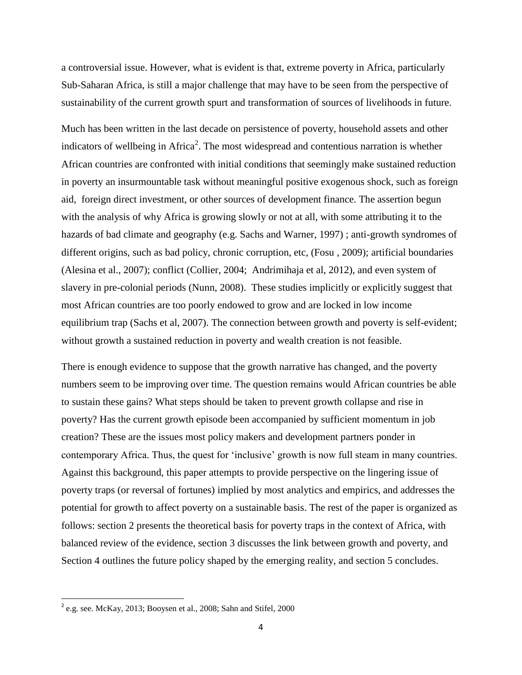a controversial issue. However, what is evident is that, extreme poverty in Africa, particularly Sub-Saharan Africa, is still a major challenge that may have to be seen from the perspective of sustainability of the current growth spurt and transformation of sources of livelihoods in future.

Much has been written in the last decade on persistence of poverty, household assets and other indicators of wellbeing in Africa<sup>2</sup>. The most widespread and contentious narration is whether African countries are confronted with initial conditions that seemingly make sustained reduction in poverty an insurmountable task without meaningful positive exogenous shock, such as foreign aid, foreign direct investment, or other sources of development finance. The assertion begun with the analysis of why Africa is growing slowly or not at all, with some attributing it to the hazards of bad climate and geography (e.g. Sachs and Warner, 1997) ; anti-growth syndromes of different origins, such as bad policy, chronic corruption, etc, (Fosu , 2009); artificial boundaries (Alesina et al., 2007); conflict (Collier, 2004; Andrimihaja et al, 2012), and even system of slavery in pre-colonial periods (Nunn, 2008). These studies implicitly or explicitly suggest that most African countries are too poorly endowed to grow and are locked in low income equilibrium trap (Sachs et al, 2007). The connection between growth and poverty is self-evident; without growth a sustained reduction in poverty and wealth creation is not feasible.

There is enough evidence to suppose that the growth narrative has changed, and the poverty numbers seem to be improving over time. The question remains would African countries be able to sustain these gains? What steps should be taken to prevent growth collapse and rise in poverty? Has the current growth episode been accompanied by sufficient momentum in job creation? These are the issues most policy makers and development partners ponder in contemporary Africa. Thus, the quest for 'inclusive' growth is now full steam in many countries. Against this background, this paper attempts to provide perspective on the lingering issue of poverty traps (or reversal of fortunes) implied by most analytics and empirics, and addresses the potential for growth to affect poverty on a sustainable basis. The rest of the paper is organized as follows: section 2 presents the theoretical basis for poverty traps in the context of Africa, with balanced review of the evidence, section 3 discusses the link between growth and poverty, and Section 4 outlines the future policy shaped by the emerging reality, and section 5 concludes.

 $\overline{\phantom{a}}$ 

 $^2$  e.g. see. McKay, 2013; Booysen et al., 2008; Sahn and Stifel, 2000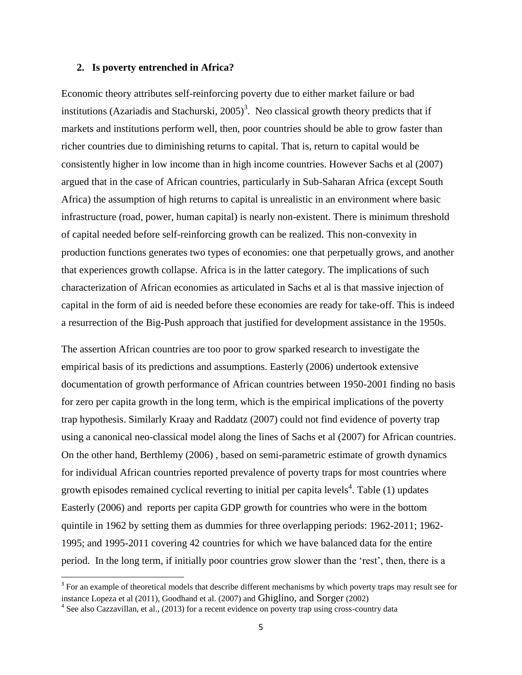#### **2. Is poverty entrenched in Africa?**

Economic theory attributes self-reinforcing poverty due to either market failure or bad institutions (Azariadis and Stachurski,  $2005$ )<sup>3</sup>. Neo classical growth theory predicts that if markets and institutions perform well, then, poor countries should be able to grow faster than richer countries due to diminishing returns to capital. That is, return to capital would be consistently higher in low income than in high income countries. However Sachs et al (2007) argued that in the case of African countries, particularly in Sub-Saharan Africa (except South Africa) the assumption of high returns to capital is unrealistic in an environment where basic infrastructure (road, power, human capital) is nearly non-existent. There is minimum threshold of capital needed before self-reinforcing growth can be realized. This non-convexity in production functions generates two types of economies: one that perpetually grows, and another that experiences growth collapse. Africa is in the latter category. The implications of such characterization of African economies as articulated in Sachs et al is that massive injection of capital in the form of aid is needed before these economies are ready for take-off. This is indeed a resurrection of the Big-Push approach that justified for development assistance in the 1950s.

The assertion African countries are too poor to grow sparked research to investigate the empirical basis of its predictions and assumptions. Easterly (2006) undertook extensive documentation of growth performance of African countries between 1950-2001 finding no basis for zero per capita growth in the long term, which is the empirical implications of the poverty trap hypothesis. Similarly Kraay and Raddatz (2007) could not find evidence of poverty trap using a canonical neo-classical model along the lines of Sachs et al (2007) for African countries. On the other hand, Berthlemy (2006) , based on semi-parametric estimate of growth dynamics for individual African countries reported prevalence of poverty traps for most countries where growth episodes remained cyclical reverting to initial per capita levels<sup>4</sup>. Table (1) updates Easterly (2006) and reports per capita GDP growth for countries who were in the bottom quintile in 1962 by setting them as dummies for three overlapping periods: 1962-2011; 1962- 1995; and 1995-2011 covering 42 countries for which we have balanced data for the entire period. In the long term, if initially poor countries grow slower than the 'rest', then, there is a

 $\overline{\phantom{a}}$ 

<sup>&</sup>lt;sup>3</sup> For an example of theoretical models that describe different mechanisms by which poverty traps may result see for instance Lopeza et al (2011), Goodhand et al. (2007) and Ghiglino, and Sorger (2002)

<sup>&</sup>lt;sup>4</sup> See also Cazzavillan, et al., (2013) for a recent evidence on poverty trap using cross-country data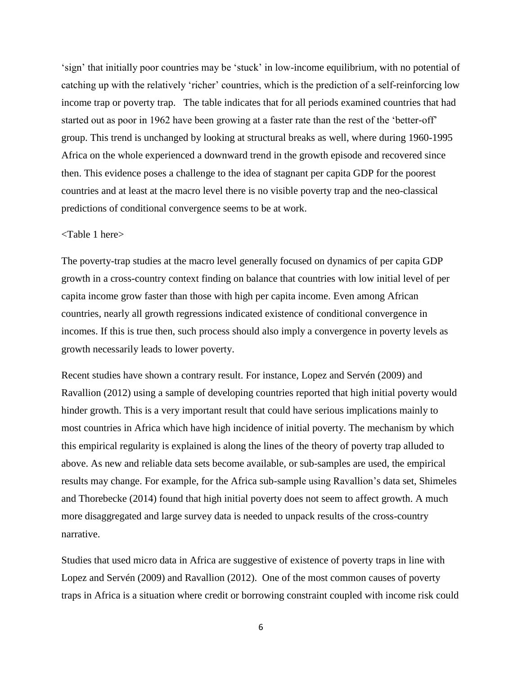'sign' that initially poor countries may be 'stuck' in low-income equilibrium, with no potential of catching up with the relatively 'richer' countries, which is the prediction of a self-reinforcing low income trap or poverty trap. The table indicates that for all periods examined countries that had started out as poor in 1962 have been growing at a faster rate than the rest of the 'better-off' group. This trend is unchanged by looking at structural breaks as well, where during 1960-1995 Africa on the whole experienced a downward trend in the growth episode and recovered since then. This evidence poses a challenge to the idea of stagnant per capita GDP for the poorest countries and at least at the macro level there is no visible poverty trap and the neo-classical predictions of conditional convergence seems to be at work.

#### <Table 1 here>

The poverty-trap studies at the macro level generally focused on dynamics of per capita GDP growth in a cross-country context finding on balance that countries with low initial level of per capita income grow faster than those with high per capita income. Even among African countries, nearly all growth regressions indicated existence of conditional convergence in incomes. If this is true then, such process should also imply a convergence in poverty levels as growth necessarily leads to lower poverty.

Recent studies have shown a contrary result. For instance, Lopez and Servén (2009) and Ravallion (2012) using a sample of developing countries reported that high initial poverty would hinder growth. This is a very important result that could have serious implications mainly to most countries in Africa which have high incidence of initial poverty. The mechanism by which this empirical regularity is explained is along the lines of the theory of poverty trap alluded to above. As new and reliable data sets become available, or sub-samples are used, the empirical results may change. For example, for the Africa sub-sample using Ravallion's data set, Shimeles and Thorebecke (2014) found that high initial poverty does not seem to affect growth. A much more disaggregated and large survey data is needed to unpack results of the cross-country narrative.

Studies that used micro data in Africa are suggestive of existence of poverty traps in line with Lopez and Servén (2009) and Ravallion (2012). One of the most common causes of poverty traps in Africa is a situation where credit or borrowing constraint coupled with income risk could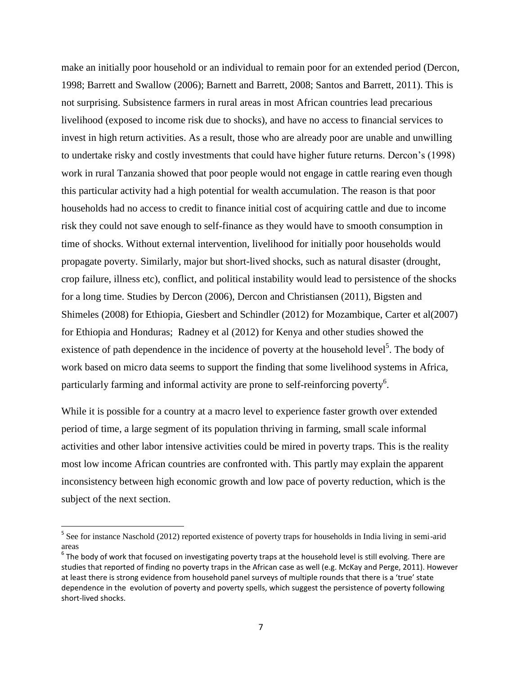make an initially poor household or an individual to remain poor for an extended period (Dercon, 1998; Barrett and Swallow (2006); Barnett and Barrett, 2008; Santos and Barrett, 2011). This is not surprising. Subsistence farmers in rural areas in most African countries lead precarious livelihood (exposed to income risk due to shocks), and have no access to financial services to invest in high return activities. As a result, those who are already poor are unable and unwilling to undertake risky and costly investments that could have higher future returns. Dercon's (1998) work in rural Tanzania showed that poor people would not engage in cattle rearing even though this particular activity had a high potential for wealth accumulation. The reason is that poor households had no access to credit to finance initial cost of acquiring cattle and due to income risk they could not save enough to self-finance as they would have to smooth consumption in time of shocks. Without external intervention, livelihood for initially poor households would propagate poverty. Similarly, major but short-lived shocks, such as natural disaster (drought, crop failure, illness etc), conflict, and political instability would lead to persistence of the shocks for a long time. Studies by Dercon (2006), Dercon and Christiansen (2011), Bigsten and Shimeles (2008) for Ethiopia, Giesbert and Schindler (2012) for Mozambique, Carter et al(2007) for Ethiopia and Honduras; Radney et al (2012) for Kenya and other studies showed the existence of path dependence in the incidence of poverty at the household  $level<sup>5</sup>$ . The body of work based on micro data seems to support the finding that some livelihood systems in Africa, particularly farming and informal activity are prone to self-reinforcing poverty<sup>6</sup>.

While it is possible for a country at a macro level to experience faster growth over extended period of time, a large segment of its population thriving in farming, small scale informal activities and other labor intensive activities could be mired in poverty traps. This is the reality most low income African countries are confronted with. This partly may explain the apparent inconsistency between high economic growth and low pace of poverty reduction, which is the subject of the next section.

 $\overline{\phantom{a}}$ 

<sup>&</sup>lt;sup>5</sup> See for instance Naschold (2012) reported existence of poverty traps for households in India living in semi-arid areas

 $^6$  The body of work that focused on investigating poverty traps at the household level is still evolving. There are studies that reported of finding no poverty traps in the African case as well (e.g. McKay and Perge, 2011). However at least there is strong evidence from household panel surveys of multiple rounds that there is a 'true' state dependence in the evolution of poverty and poverty spells, which suggest the persistence of poverty following short-lived shocks.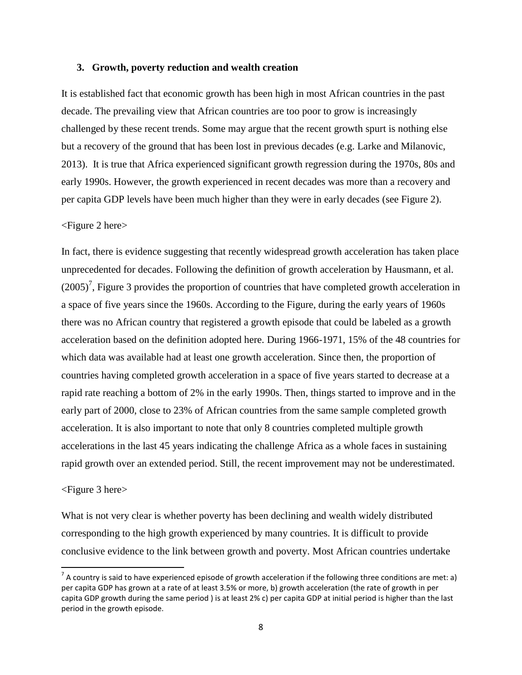#### **3. Growth, poverty reduction and wealth creation**

It is established fact that economic growth has been high in most African countries in the past decade. The prevailing view that African countries are too poor to grow is increasingly challenged by these recent trends. Some may argue that the recent growth spurt is nothing else but a recovery of the ground that has been lost in previous decades (e.g. Larke and Milanovic, 2013). It is true that Africa experienced significant growth regression during the 1970s, 80s and early 1990s. However, the growth experienced in recent decades was more than a recovery and per capita GDP levels have been much higher than they were in early decades (see Figure 2).

#### <Figure 2 here>

In fact, there is evidence suggesting that recently widespread growth acceleration has taken place unprecedented for decades. Following the definition of growth acceleration by Hausmann, et al.  $(2005)^7$ , Figure 3 provides the proportion of countries that have completed growth acceleration in a space of five years since the 1960s. According to the Figure, during the early years of 1960s there was no African country that registered a growth episode that could be labeled as a growth acceleration based on the definition adopted here. During 1966-1971, 15% of the 48 countries for which data was available had at least one growth acceleration. Since then, the proportion of countries having completed growth acceleration in a space of five years started to decrease at a rapid rate reaching a bottom of 2% in the early 1990s. Then, things started to improve and in the early part of 2000, close to 23% of African countries from the same sample completed growth acceleration. It is also important to note that only 8 countries completed multiple growth accelerations in the last 45 years indicating the challenge Africa as a whole faces in sustaining rapid growth over an extended period. Still, the recent improvement may not be underestimated.

#### <Figure 3 here>

 $\overline{a}$ 

What is not very clear is whether poverty has been declining and wealth widely distributed corresponding to the high growth experienced by many countries. It is difficult to provide conclusive evidence to the link between growth and poverty. Most African countries undertake

 $^7$  A country is said to have experienced episode of growth acceleration if the following three conditions are met: a) per capita GDP has grown at a rate of at least 3.5% or more, b) growth acceleration (the rate of growth in per capita GDP growth during the same period ) is at least 2% c) per capita GDP at initial period is higher than the last period in the growth episode.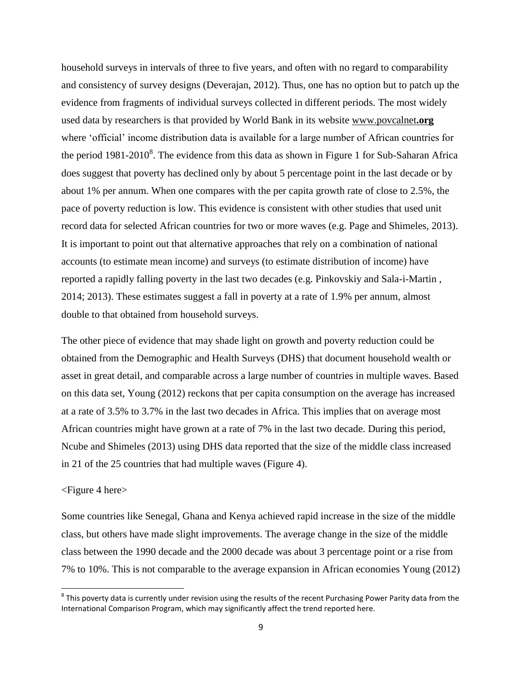household surveys in intervals of three to five years, and often with no regard to comparability and consistency of survey designs (Deverajan, 2012). Thus, one has no option but to patch up the evidence from fragments of individual surveys collected in different periods. The most widely used data by researchers is that provided by World Bank in its website [www.povcalnet](http://www.povcalnet.org/)**.org** where 'official' income distribution data is available for a large number of African countries for the period 1981-2010<sup>8</sup>. The evidence from this data as shown in Figure 1 for Sub-Saharan Africa does suggest that poverty has declined only by about 5 percentage point in the last decade or by about 1% per annum. When one compares with the per capita growth rate of close to 2.5%, the pace of poverty reduction is low. This evidence is consistent with other studies that used unit record data for selected African countries for two or more waves (e.g. Page and Shimeles, 2013). It is important to point out that alternative approaches that rely on a combination of national accounts (to estimate mean income) and surveys (to estimate distribution of income) have reported a rapidly falling poverty in the last two decades (e.g. Pinkovskiy and Sala-i-Martin , 2014; 2013). These estimates suggest a fall in poverty at a rate of 1.9% per annum, almost double to that obtained from household surveys.

The other piece of evidence that may shade light on growth and poverty reduction could be obtained from the Demographic and Health Surveys (DHS) that document household wealth or asset in great detail, and comparable across a large number of countries in multiple waves. Based on this data set, Young (2012) reckons that per capita consumption on the average has increased at a rate of 3.5% to 3.7% in the last two decades in Africa. This implies that on average most African countries might have grown at a rate of 7% in the last two decade. During this period, Ncube and Shimeles (2013) using DHS data reported that the size of the middle class increased in 21 of the 25 countries that had multiple waves (Figure 4).

#### <Figure 4 here>

l

Some countries like Senegal, Ghana and Kenya achieved rapid increase in the size of the middle class, but others have made slight improvements. The average change in the size of the middle class between the 1990 decade and the 2000 decade was about 3 percentage point or a rise from 7% to 10%. This is not comparable to the average expansion in African economies Young (2012)

 $^8$  This poverty data is currently under revision using the results of the recent Purchasing Power Parity data from the International Comparison Program, which may significantly affect the trend reported here.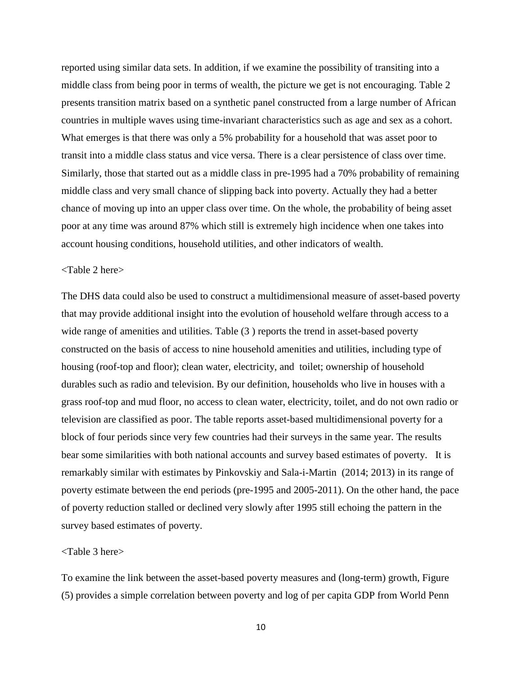reported using similar data sets. In addition, if we examine the possibility of transiting into a middle class from being poor in terms of wealth, the picture we get is not encouraging. Table 2 presents transition matrix based on a synthetic panel constructed from a large number of African countries in multiple waves using time-invariant characteristics such as age and sex as a cohort. What emerges is that there was only a 5% probability for a household that was asset poor to transit into a middle class status and vice versa. There is a clear persistence of class over time. Similarly, those that started out as a middle class in pre-1995 had a 70% probability of remaining middle class and very small chance of slipping back into poverty. Actually they had a better chance of moving up into an upper class over time. On the whole, the probability of being asset poor at any time was around 87% which still is extremely high incidence when one takes into account housing conditions, household utilities, and other indicators of wealth.

#### <Table 2 here>

The DHS data could also be used to construct a multidimensional measure of asset-based poverty that may provide additional insight into the evolution of household welfare through access to a wide range of amenities and utilities. Table (3) reports the trend in asset-based poverty constructed on the basis of access to nine household amenities and utilities, including type of housing (roof-top and floor); clean water, electricity, and toilet; ownership of household durables such as radio and television. By our definition, households who live in houses with a grass roof-top and mud floor, no access to clean water, electricity, toilet, and do not own radio or television are classified as poor. The table reports asset-based multidimensional poverty for a block of four periods since very few countries had their surveys in the same year. The results bear some similarities with both national accounts and survey based estimates of poverty. It is remarkably similar with estimates by Pinkovskiy and Sala-i-Martin (2014; 2013) in its range of poverty estimate between the end periods (pre-1995 and 2005-2011). On the other hand, the pace of poverty reduction stalled or declined very slowly after 1995 still echoing the pattern in the survey based estimates of poverty.

#### <Table 3 here>

To examine the link between the asset-based poverty measures and (long-term) growth, Figure (5) provides a simple correlation between poverty and log of per capita GDP from World Penn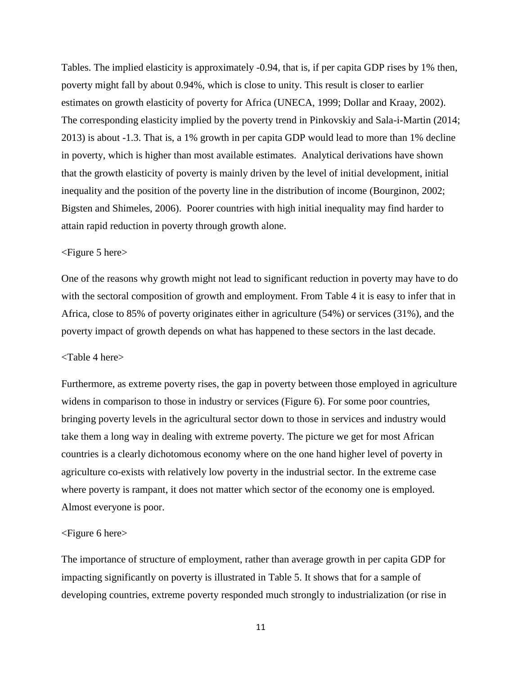Tables. The implied elasticity is approximately -0.94, that is, if per capita GDP rises by 1% then, poverty might fall by about 0.94%, which is close to unity. This result is closer to earlier estimates on growth elasticity of poverty for Africa (UNECA, 1999; Dollar and Kraay, 2002). The corresponding elasticity implied by the poverty trend in Pinkovskiy and Sala-i-Martin (2014; 2013) is about -1.3. That is, a 1% growth in per capita GDP would lead to more than 1% decline in poverty, which is higher than most available estimates. Analytical derivations have shown that the growth elasticity of poverty is mainly driven by the level of initial development, initial inequality and the position of the poverty line in the distribution of income (Bourginon, 2002; Bigsten and Shimeles, 2006). Poorer countries with high initial inequality may find harder to attain rapid reduction in poverty through growth alone.

#### <Figure 5 here>

One of the reasons why growth might not lead to significant reduction in poverty may have to do with the sectoral composition of growth and employment. From Table 4 it is easy to infer that in Africa, close to 85% of poverty originates either in agriculture (54%) or services (31%), and the poverty impact of growth depends on what has happened to these sectors in the last decade.

#### <Table 4 here>

Furthermore, as extreme poverty rises, the gap in poverty between those employed in agriculture widens in comparison to those in industry or services (Figure 6). For some poor countries, bringing poverty levels in the agricultural sector down to those in services and industry would take them a long way in dealing with extreme poverty. The picture we get for most African countries is a clearly dichotomous economy where on the one hand higher level of poverty in agriculture co-exists with relatively low poverty in the industrial sector. In the extreme case where poverty is rampant, it does not matter which sector of the economy one is employed. Almost everyone is poor.

#### <Figure 6 here>

The importance of structure of employment, rather than average growth in per capita GDP for impacting significantly on poverty is illustrated in Table 5. It shows that for a sample of developing countries, extreme poverty responded much strongly to industrialization (or rise in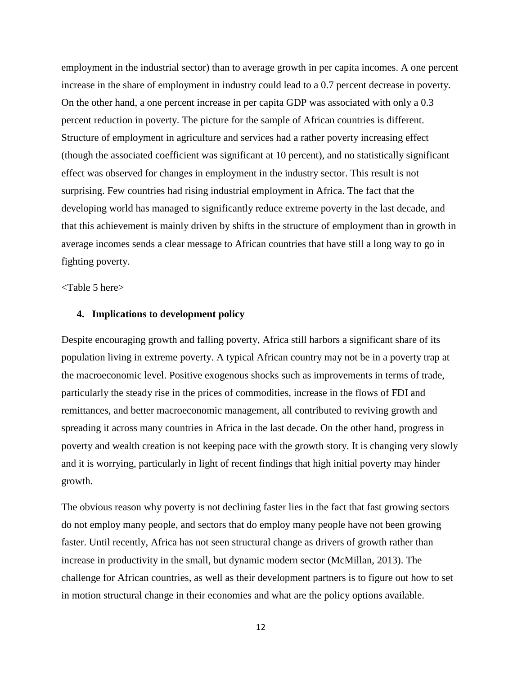employment in the industrial sector) than to average growth in per capita incomes. A one percent increase in the share of employment in industry could lead to a 0.7 percent decrease in poverty. On the other hand, a one percent increase in per capita GDP was associated with only a 0.3 percent reduction in poverty. The picture for the sample of African countries is different. Structure of employment in agriculture and services had a rather poverty increasing effect (though the associated coefficient was significant at 10 percent), and no statistically significant effect was observed for changes in employment in the industry sector. This result is not surprising. Few countries had rising industrial employment in Africa. The fact that the developing world has managed to significantly reduce extreme poverty in the last decade, and that this achievement is mainly driven by shifts in the structure of employment than in growth in average incomes sends a clear message to African countries that have still a long way to go in fighting poverty.

<Table 5 here>

#### **4. Implications to development policy**

Despite encouraging growth and falling poverty, Africa still harbors a significant share of its population living in extreme poverty. A typical African country may not be in a poverty trap at the macroeconomic level. Positive exogenous shocks such as improvements in terms of trade, particularly the steady rise in the prices of commodities, increase in the flows of FDI and remittances, and better macroeconomic management, all contributed to reviving growth and spreading it across many countries in Africa in the last decade. On the other hand, progress in poverty and wealth creation is not keeping pace with the growth story. It is changing very slowly and it is worrying, particularly in light of recent findings that high initial poverty may hinder growth.

The obvious reason why poverty is not declining faster lies in the fact that fast growing sectors do not employ many people, and sectors that do employ many people have not been growing faster. Until recently, Africa has not seen structural change as drivers of growth rather than increase in productivity in the small, but dynamic modern sector (McMillan, 2013). The challenge for African countries, as well as their development partners is to figure out how to set in motion structural change in their economies and what are the policy options available.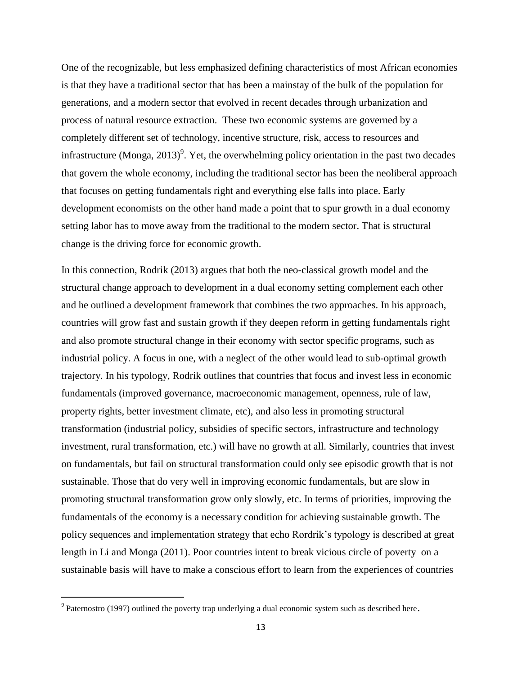One of the recognizable, but less emphasized defining characteristics of most African economies is that they have a traditional sector that has been a mainstay of the bulk of the population for generations, and a modern sector that evolved in recent decades through urbanization and process of natural resource extraction. These two economic systems are governed by a completely different set of technology, incentive structure, risk, access to resources and infrastructure (Monga, 2013)<sup>9</sup>. Yet, the overwhelming policy orientation in the past two decades that govern the whole economy, including the traditional sector has been the neoliberal approach that focuses on getting fundamentals right and everything else falls into place. Early development economists on the other hand made a point that to spur growth in a dual economy setting labor has to move away from the traditional to the modern sector. That is structural change is the driving force for economic growth.

In this connection, Rodrik (2013) argues that both the neo-classical growth model and the structural change approach to development in a dual economy setting complement each other and he outlined a development framework that combines the two approaches. In his approach, countries will grow fast and sustain growth if they deepen reform in getting fundamentals right and also promote structural change in their economy with sector specific programs, such as industrial policy. A focus in one, with a neglect of the other would lead to sub-optimal growth trajectory. In his typology, Rodrik outlines that countries that focus and invest less in economic fundamentals (improved governance, macroeconomic management, openness, rule of law, property rights, better investment climate, etc), and also less in promoting structural transformation (industrial policy, subsidies of specific sectors, infrastructure and technology investment, rural transformation, etc.) will have no growth at all. Similarly, countries that invest on fundamentals, but fail on structural transformation could only see episodic growth that is not sustainable. Those that do very well in improving economic fundamentals, but are slow in promoting structural transformation grow only slowly, etc. In terms of priorities, improving the fundamentals of the economy is a necessary condition for achieving sustainable growth. The policy sequences and implementation strategy that echo Rordrik's typology is described at great length in Li and Monga (2011). Poor countries intent to break vicious circle of poverty on a sustainable basis will have to make a conscious effort to learn from the experiences of countries

 $\overline{a}$ 

<sup>&</sup>lt;sup>9</sup> Paternostro (1997) outlined the poverty trap underlying a dual economic system such as described here.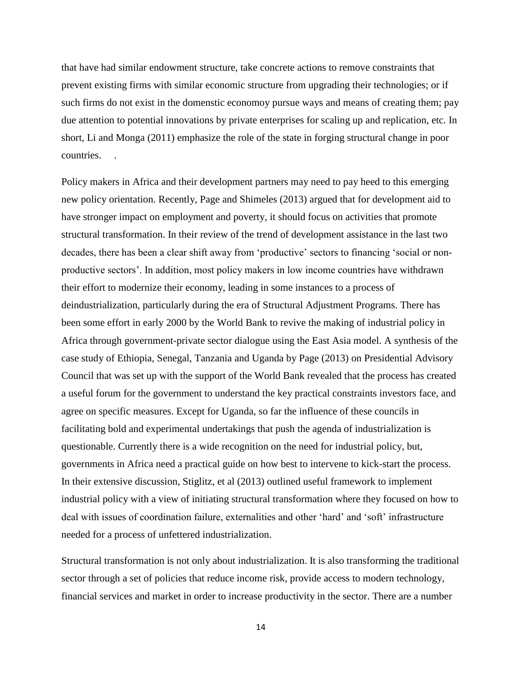that have had similar endowment structure, take concrete actions to remove constraints that prevent existing firms with similar economic structure from upgrading their technologies; or if such firms do not exist in the domenstic economoy pursue ways and means of creating them; pay due attention to potential innovations by private enterprises for scaling up and replication, etc. In short, Li and Monga (2011) emphasize the role of the state in forging structural change in poor countries. .

Policy makers in Africa and their development partners may need to pay heed to this emerging new policy orientation. Recently, Page and Shimeles (2013) argued that for development aid to have stronger impact on employment and poverty, it should focus on activities that promote structural transformation. In their review of the trend of development assistance in the last two decades, there has been a clear shift away from 'productive' sectors to financing 'social or nonproductive sectors'. In addition, most policy makers in low income countries have withdrawn their effort to modernize their economy, leading in some instances to a process of deindustrialization, particularly during the era of Structural Adjustment Programs. There has been some effort in early 2000 by the World Bank to revive the making of industrial policy in Africa through government-private sector dialogue using the East Asia model. A synthesis of the case study of Ethiopia, Senegal, Tanzania and Uganda by Page (2013) on Presidential Advisory Council that was set up with the support of the World Bank revealed that the process has created a useful forum for the government to understand the key practical constraints investors face, and agree on specific measures. Except for Uganda, so far the influence of these councils in facilitating bold and experimental undertakings that push the agenda of industrialization is questionable. Currently there is a wide recognition on the need for industrial policy, but, governments in Africa need a practical guide on how best to intervene to kick-start the process. In their extensive discussion, Stiglitz, et al (2013) outlined useful framework to implement industrial policy with a view of initiating structural transformation where they focused on how to deal with issues of coordination failure, externalities and other 'hard' and 'soft' infrastructure needed for a process of unfettered industrialization.

Structural transformation is not only about industrialization. It is also transforming the traditional sector through a set of policies that reduce income risk, provide access to modern technology, financial services and market in order to increase productivity in the sector. There are a number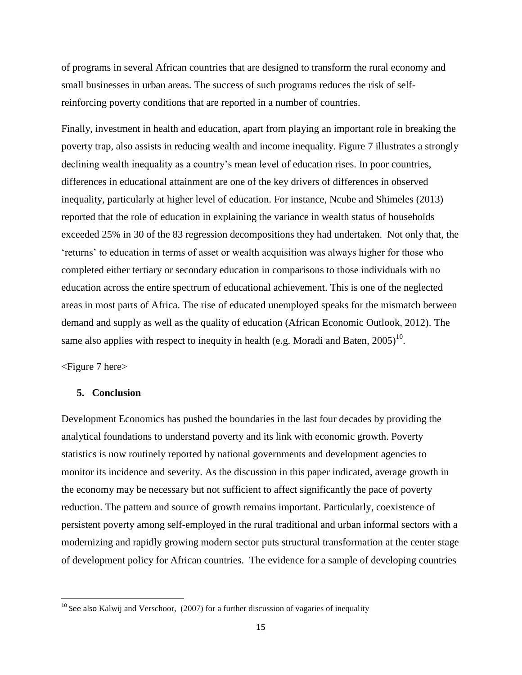of programs in several African countries that are designed to transform the rural economy and small businesses in urban areas. The success of such programs reduces the risk of selfreinforcing poverty conditions that are reported in a number of countries.

Finally, investment in health and education, apart from playing an important role in breaking the poverty trap, also assists in reducing wealth and income inequality. Figure 7 illustrates a strongly declining wealth inequality as a country's mean level of education rises. In poor countries, differences in educational attainment are one of the key drivers of differences in observed inequality, particularly at higher level of education. For instance, Ncube and Shimeles (2013) reported that the role of education in explaining the variance in wealth status of households exceeded 25% in 30 of the 83 regression decompositions they had undertaken. Not only that, the 'returns' to education in terms of asset or wealth acquisition was always higher for those who completed either tertiary or secondary education in comparisons to those individuals with no education across the entire spectrum of educational achievement. This is one of the neglected areas in most parts of Africa. The rise of educated unemployed speaks for the mismatch between demand and supply as well as the quality of education (African Economic Outlook, 2012). The same also applies with respect to inequity in health (e.g. Moradi and Baten,  $2005)^{10}$ .

<Figure 7 here>

 $\overline{\phantom{a}}$ 

#### **5. Conclusion**

Development Economics has pushed the boundaries in the last four decades by providing the analytical foundations to understand poverty and its link with economic growth. Poverty statistics is now routinely reported by national governments and development agencies to monitor its incidence and severity. As the discussion in this paper indicated, average growth in the economy may be necessary but not sufficient to affect significantly the pace of poverty reduction. The pattern and source of growth remains important. Particularly, coexistence of persistent poverty among self-employed in the rural traditional and urban informal sectors with a modernizing and rapidly growing modern sector puts structural transformation at the center stage of development policy for African countries. The evidence for a sample of developing countries

 $10$  See also Kalwij and Verschoor, (2007) for a further discussion of vagaries of inequality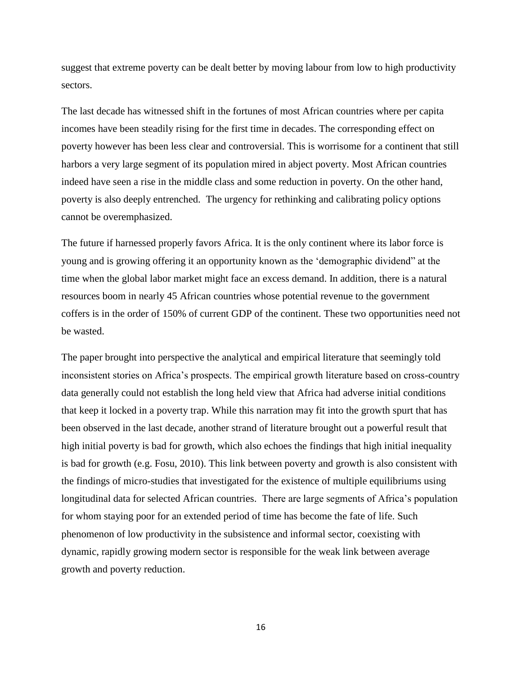suggest that extreme poverty can be dealt better by moving labour from low to high productivity sectors.

The last decade has witnessed shift in the fortunes of most African countries where per capita incomes have been steadily rising for the first time in decades. The corresponding effect on poverty however has been less clear and controversial. This is worrisome for a continent that still harbors a very large segment of its population mired in abject poverty. Most African countries indeed have seen a rise in the middle class and some reduction in poverty. On the other hand, poverty is also deeply entrenched. The urgency for rethinking and calibrating policy options cannot be overemphasized.

The future if harnessed properly favors Africa. It is the only continent where its labor force is young and is growing offering it an opportunity known as the 'demographic dividend" at the time when the global labor market might face an excess demand. In addition, there is a natural resources boom in nearly 45 African countries whose potential revenue to the government coffers is in the order of 150% of current GDP of the continent. These two opportunities need not be wasted.

The paper brought into perspective the analytical and empirical literature that seemingly told inconsistent stories on Africa's prospects. The empirical growth literature based on cross-country data generally could not establish the long held view that Africa had adverse initial conditions that keep it locked in a poverty trap. While this narration may fit into the growth spurt that has been observed in the last decade, another strand of literature brought out a powerful result that high initial poverty is bad for growth, which also echoes the findings that high initial inequality is bad for growth (e.g. Fosu, 2010). This link between poverty and growth is also consistent with the findings of micro-studies that investigated for the existence of multiple equilibriums using longitudinal data for selected African countries. There are large segments of Africa's population for whom staying poor for an extended period of time has become the fate of life. Such phenomenon of low productivity in the subsistence and informal sector, coexisting with dynamic, rapidly growing modern sector is responsible for the weak link between average growth and poverty reduction.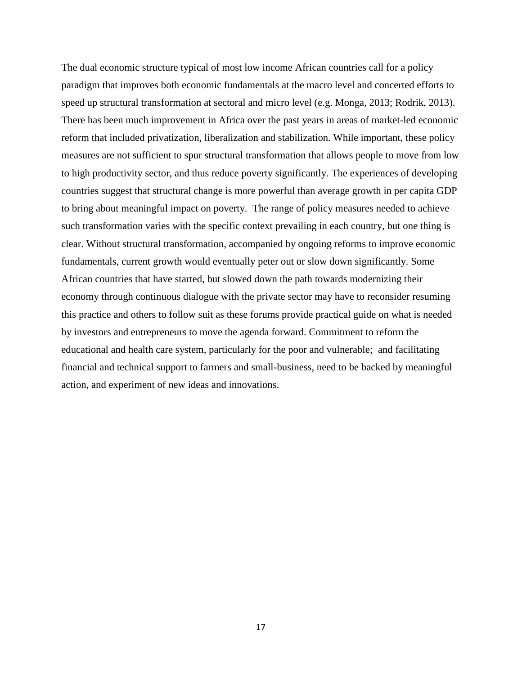The dual economic structure typical of most low income African countries call for a policy paradigm that improves both economic fundamentals at the macro level and concerted efforts to speed up structural transformation at sectoral and micro level (e.g. Monga, 2013; Rodrik, 2013). There has been much improvement in Africa over the past years in areas of market-led economic reform that included privatization, liberalization and stabilization. While important, these policy measures are not sufficient to spur structural transformation that allows people to move from low to high productivity sector, and thus reduce poverty significantly. The experiences of developing countries suggest that structural change is more powerful than average growth in per capita GDP to bring about meaningful impact on poverty. The range of policy measures needed to achieve such transformation varies with the specific context prevailing in each country, but one thing is clear. Without structural transformation, accompanied by ongoing reforms to improve economic fundamentals, current growth would eventually peter out or slow down significantly. Some African countries that have started, but slowed down the path towards modernizing their economy through continuous dialogue with the private sector may have to reconsider resuming this practice and others to follow suit as these forums provide practical guide on what is needed by investors and entrepreneurs to move the agenda forward. Commitment to reform the educational and health care system, particularly for the poor and vulnerable; and facilitating financial and technical support to farmers and small-business, need to be backed by meaningful action, and experiment of new ideas and innovations.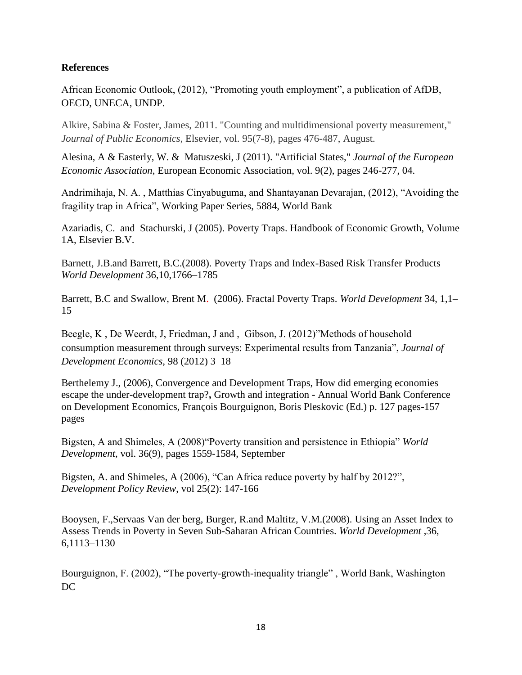## **References**

African Economic Outlook, (2012), "Promoting youth employment", a publication of AfDB, OECD, UNECA, UNDP.

Alkire, Sabina & Foster, James, 2011. "Counting and multidimensional poverty measurement," *Journal of Public Economics*, Elsevier, vol. 95(7-8), pages 476-487, August.

Alesina, A & Easterly, W. & Matuszeski, J (2011). ["Artificial States,](http://ideas.repec.org/a/bla/jeurec/v9y2011i2p246-277.html)" *[Journal of the European](http://ideas.repec.org/s/bla/jeurec.html)  [Economic Association](http://ideas.repec.org/s/bla/jeurec.html)*, European Economic Association, vol. 9(2), pages 246-277, 04.

Andrimihaja, N. A. , Matthias Cinyabuguma, and Shantayanan Devarajan, (2012), "Avoiding the fragility trap in Africa", Working Paper Series, 5884, World Bank

Azariadis, C. and Stachurski, J (2005). Poverty Traps. Handbook of Economic Growth, Volume 1A, Elsevier B.V.

Barnett, J.B.and Barrett, B.C.(2008). Poverty Traps and Index-Based Risk Transfer Products *World Development* 36,10,1766–1785

Barrett, B.C and Swallow, Brent M. (2006). Fractal Poverty Traps. *World Development* 34, 1,1– 15

Beegle, K , De Weerdt, J, Friedman, J and , Gibson, J. (2012)"Methods of household consumption measurement through surveys: Experimental results from Tanzania", *Journal of Development Economics*, 98 (2012) 3–18

Berthelemy J., (2006), Convergence and Development Traps, How did emerging economies escape the under-development trap?**,** Growth and integration - Annual World Bank Conference on Development Economics, François Bourguignon, Boris Pleskovic (Ed.) p. 127 pages-157 pages

Bigsten, A and Shimeles, A (2008)"Poverty transition and persistence in Ethiopia" *World Development*, vol. 36(9), pages 1559-1584, September

Bigsten, A. and Shimeles, A (2006), "Can Africa reduce poverty by half by 2012?", *Development Policy Review*, vol 25(2): 147-166

Booysen, F.,Servaas Van der berg, Burger, R.and Maltitz, V.M.(2008). Using an Asset Index to Assess Trends in Poverty in Seven Sub-Saharan African Countries. *World Development* ,36, 6,1113–1130

Bourguignon, F. (2002), "The poverty-growth-inequality triangle" , World Bank, Washington DC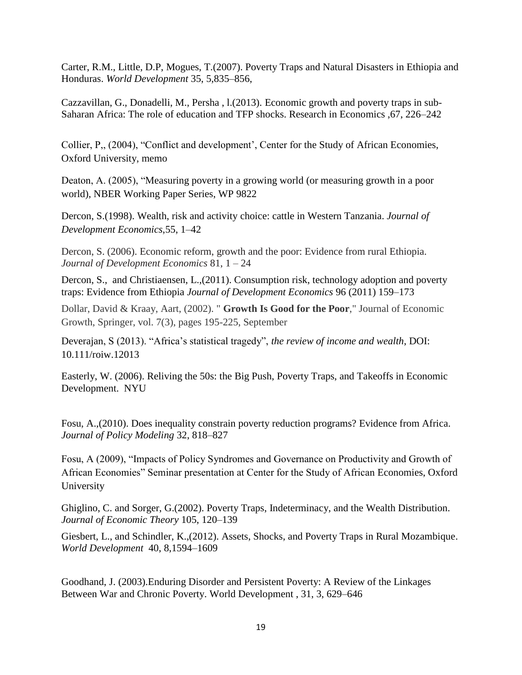Carter, R.M., Little, D.P, Mogues, T.(2007). Poverty Traps and Natural Disasters in Ethiopia and Honduras. *World Development* 35, 5,835–856,

Cazzavillan, G., Donadelli, M., Persha , l.(2013). Economic growth and poverty traps in sub-Saharan Africa: The role of education and TFP shocks. Research in Economics ,67, 226–242

Collier, P,, (2004), "Conflict and development', Center for the Study of African Economies, Oxford University, memo

Deaton, A. (2005), "Measuring poverty in a growing world (or measuring growth in a poor world), NBER Working Paper Series, WP 9822

Dercon, S.(1998). Wealth, risk and activity choice: cattle in Western Tanzania. *Journal of Development Economics*,55, 1–42

Dercon, S. (2006). Economic reform, growth and the poor: Evidence from rural Ethiopia. *Journal of Development Economics* 81, 1 – 24

Dercon, S., and Christiaensen, L.,(2011). Consumption risk, technology adoption and poverty traps: Evidence from Ethiopia *Journal of Development Economics* 96 (2011) 159–173

Dollar, David & Kraay, Aart, (2002). " **Growth Is Good for the Poor**," Journal of Economic Growth, Springer, vol. 7(3), pages 195-225, September

Deverajan, S (2013). "Africa's statistical tragedy", *the review of income and wealth*, DOI: 10.111/roiw.12013

Easterly, W. (2006). Reliving the 50s: the Big Push, Poverty Traps, and Takeoffs in Economic Development. NYU

Fosu, A.,(2010). Does inequality constrain poverty reduction programs? Evidence from Africa. *Journal of Policy Modeling* 32, 818–827

Fosu, A (2009), "Impacts of Policy Syndromes and Governance on Productivity and Growth of African Economies" Seminar presentation at Center for the Study of African Economies, Oxford University

Ghiglino, C. and Sorger, G.(2002). Poverty Traps, Indeterminacy, and the Wealth Distribution. *Journal of Economic Theory* 105, 120–139

Giesbert, L., and Schindler, K.,(2012). Assets, Shocks, and Poverty Traps in Rural Mozambique. *World Development* 40, 8,1594–1609

Goodhand, J. (2003).Enduring Disorder and Persistent Poverty: A Review of the Linkages Between War and Chronic Poverty. World Development , 31, 3, 629–646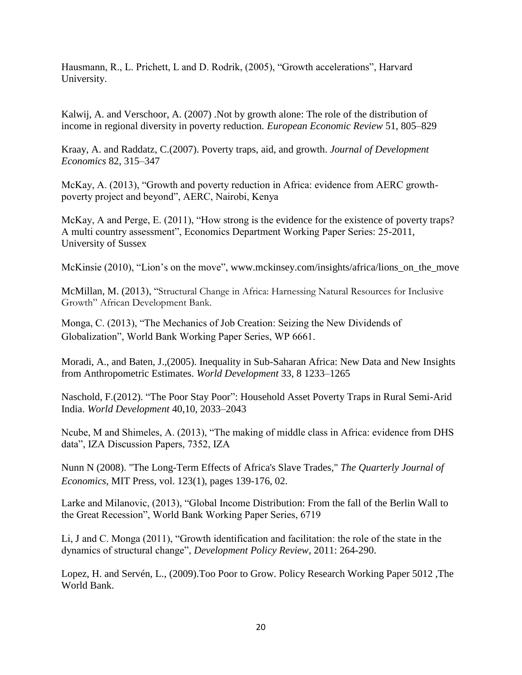Hausmann, R., L. Prichett, L and D. Rodrik, (2005), "Growth accelerations", Harvard University.

Kalwij, A. and Verschoor, A. (2007) .Not by growth alone: The role of the distribution of income in regional diversity in poverty reduction*. European Economic Review* 51, 805–829

Kraay, A. and Raddatz, C.(2007). Poverty traps, aid, and growth. *Journal of Development Economics* 82, 315–347

McKay, A. (2013), "Growth and poverty reduction in Africa: evidence from AERC growthpoverty project and beyond", AERC, Nairobi, Kenya

McKay, A and Perge, E. (2011), "How strong is the evidence for the existence of poverty traps? A multi country assessment", Economics Department Working Paper Series: 25-2011, University of Sussex

McKinsie (2010), "Lion's on the move", www.mckinsey.com/insights/africa/lions\_on\_the\_move

McMillan, M. (2013), "Structural Change in Africa: Harnessing Natural Resources for Inclusive Growth" African Development Bank.

Monga, C. (2013), "The Mechanics of Job Creation: Seizing the New Dividends of Globalization", World Bank Working Paper Series, WP 6661.

Moradi, A., and Baten, J.,(2005). Inequality in Sub-Saharan Africa: New Data and New Insights from Anthropometric Estimates. *World Development* 33, 8 1233–1265

Naschold, F.(2012). "The Poor Stay Poor": Household Asset Poverty Traps in Rural Semi-Arid India. *World Development* 40,10, 2033–2043

Ncube, M and Shimeles, A. (2013), "The making of middle class in Africa: evidence from DHS data", IZA Discussion Papers, 7352, IZA

Nunn N (2008). ["The Long-Term Effects of Africa's Slave Trades,](http://ideas.repec.org/a/tpr/qjecon/v123y2008i1p139-176.html)" *[The Quarterly Journal of](http://ideas.repec.org/s/tpr/qjecon.html)  [Economics](http://ideas.repec.org/s/tpr/qjecon.html)*, MIT Press, vol. 123(1), pages 139-176, 02.

Larke and Milanovic, (2013), "Global Income Distribution: From the fall of the Berlin Wall to the Great Recession", World Bank Working Paper Series, 6719

Li, J and C. Monga (2011), "Growth identification and facilitation: the role of the state in the dynamics of structural change", *Development Policy Review*, 2011: 264-290.

Lopez, H. and Servén, L., (2009).Too Poor to Grow. Policy Research Working Paper 5012 ,The World Bank.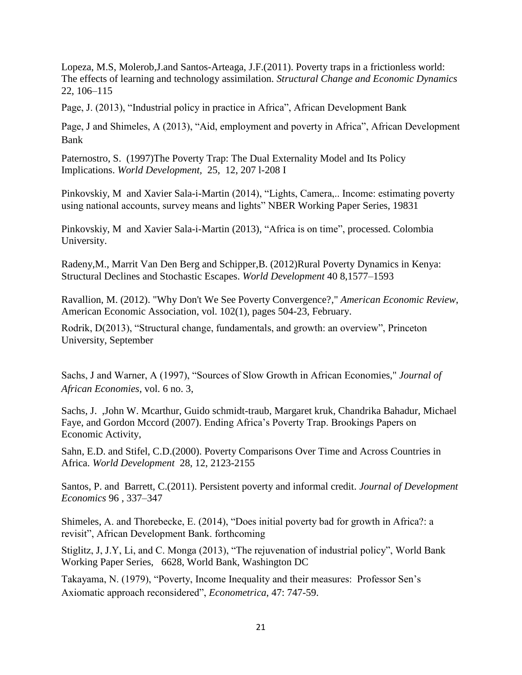Lopeza, M.S, Molerob,J.and Santos-Arteaga, J.F.(2011). Poverty traps in a frictionless world: The effects of learning and technology assimilation. *Structural Change and Economic Dynamics* 22, 106–115

Page, J. (2013), "Industrial policy in practice in Africa", African Development Bank

Page, J and Shimeles, A (2013), "Aid, employment and poverty in Africa", African Development Bank

Paternostro, S. (1997)The Poverty Trap: The Dual Externality Model and Its Policy Implications. *World Development,* 25, 12, 207 l-208 I

Pinkovskiy, M and Xavier Sala-i-Martin (2014), "Lights, Camera,.. Income: estimating poverty using national accounts, survey means and lights" NBER Working Paper Series, 19831

Pinkovskiy, M and Xavier Sala-i-Martin (2013), "Africa is on time", processed. Colombia University.

Radeny,M., Marrit Van Den Berg and Schipper,B. (2012)Rural Poverty Dynamics in Kenya: Structural Declines and Stochastic Escapes. *World Development* 40 8,1577–1593

Ravallion, M. (2012). ["Why Don't We See Poverty Convergence?,](http://ideas.repec.org/a/aea/aecrev/v102y2012i1p504-23.html)" *[American Economic Review](http://ideas.repec.org/s/aea/aecrev.html)*, American Economic Association, vol. 102(1), pages 504-23, February.

Rodrik, D(2013), "Structural change, fundamentals, and growth: an overview", Princeton University, September

Sachs, J and Warner, A (1997), "Sources of Slow Growth in African Economies," *Journal of African Economies*, vol. 6 no. 3,

Sachs, J. ,John W. Mcarthur, Guido schmidt-traub, Margaret kruk, Chandrika Bahadur, Michael Faye, and Gordon Mccord (2007). Ending Africa's Poverty Trap. Brookings Papers on Economic Activity,

Sahn, E.D. and Stifel, C.D.(2000). Poverty Comparisons Over Time and Across Countries in Africa. *World Development* 28, 12, 2123-2155

Santos, P. and Barrett, C.(2011). Persistent poverty and informal credit. *Journal of Development Economics* 96 , 337–347

Shimeles, A. and Thorebecke, E. (2014), "Does initial poverty bad for growth in Africa?: a revisit", African Development Bank. forthcoming

Stiglitz, J, J.Y, Li, and C. Monga (2013), "The rejuvenation of industrial policy", World Bank Working Paper Series, 6628, World Bank, Washington DC

Takayama, N. (1979), "Poverty, Income Inequality and their measures: Professor Sen's Axiomatic approach reconsidered", *Econometrica*, 47: 747-59.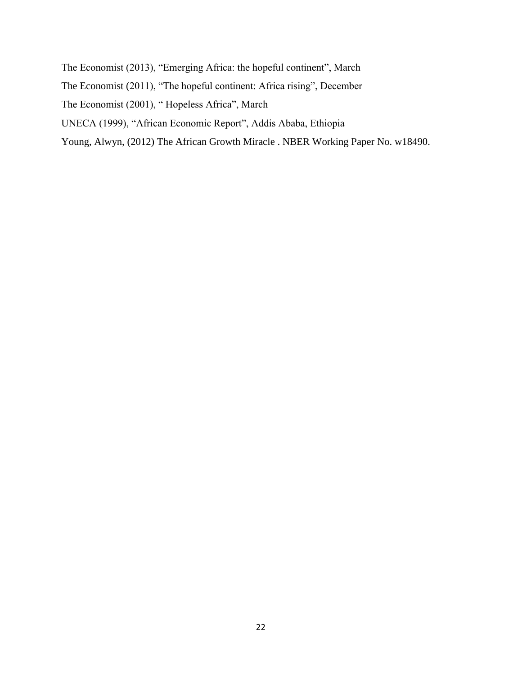The Economist (2013), "Emerging Africa: the hopeful continent", March

The Economist (2011), "The hopeful continent: Africa rising", December

The Economist (2001), " Hopeless Africa", March

UNECA (1999), "African Economic Report", Addis Ababa, Ethiopia

Young, Alwyn, (2012) The African Growth Miracle . NBER Working Paper No. w18490.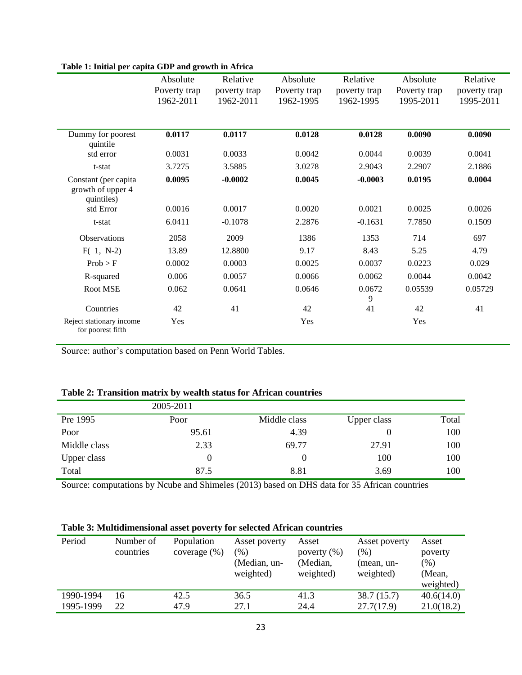|                                                          | Absolute     | Relative     | Absolute     | Relative     | Absolute     | Relative     |
|----------------------------------------------------------|--------------|--------------|--------------|--------------|--------------|--------------|
|                                                          | Poverty trap | poverty trap | Poverty trap | poverty trap | Poverty trap | poverty trap |
|                                                          | 1962-2011    | 1962-2011    | 1962-1995    | 1962-1995    | 1995-2011    | 1995-2011    |
|                                                          |              |              |              |              |              |              |
| Dummy for poorest<br>quintile                            | 0.0117       | 0.0117       | 0.0128       | 0.0128       | 0.0090       | 0.0090       |
| std error                                                | 0.0031       | 0.0033       | 0.0042       | 0.0044       | 0.0039       | 0.0041       |
| t-stat                                                   | 3.7275       | 3.5885       | 3.0278       | 2.9043       | 2.2907       | 2.1886       |
| Constant (per capita)<br>growth of upper 4<br>quintiles) | 0.0095       | $-0.0002$    | 0.0045       | $-0.0003$    | 0.0195       | 0.0004       |
| std Error                                                | 0.0016       | 0.0017       | 0.0020       | 0.0021       | 0.0025       | 0.0026       |
| t-stat                                                   | 6.0411       | $-0.1078$    | 2.2876       | $-0.1631$    | 7.7850       | 0.1509       |
| Observations                                             | 2058         | 2009         | 1386         | 1353         | 714          | 697          |
| $F(1, N-2)$                                              | 13.89        | 12.8800      | 9.17         | 8.43         | 5.25         | 4.79         |
| Prob > F                                                 | 0.0002       | 0.0003       | 0.0025       | 0.0037       | 0.0223       | 0.029        |
| R-squared                                                | 0.006        | 0.0057       | 0.0066       | 0.0062       | 0.0044       | 0.0042       |
| Root MSE                                                 | 0.062        | 0.0641       | 0.0646       | 0.0672<br>9  | 0.05539      | 0.05729      |
| Countries                                                | 42           | 41           | 42           | 41           | 42           | 41           |
| Reject stationary income<br>for poorest fifth            | Yes          |              | Yes          |              | Yes          |              |

### **Table 1: Initial per capita GDP and growth in Africa**

Source: author's computation based on Penn World Tables.

### **Table 2: Transition matrix by wealth status for African countries**

|              | 2005-2011 |              |             |       |
|--------------|-----------|--------------|-------------|-------|
| Pre 1995     | Poor      | Middle class | Upper class | Total |
| Poor         | 95.61     | 4.39         |             | 100   |
| Middle class | 2.33      | 69.77        | 27.91       | 100   |
| Upper class  |           |              | 100         | 100   |
| Total        | 87.5      | 8.81         | 3.69        | 100   |

Source: computations by Ncube and Shimeles (2013) based on DHS data for 35 African countries

| Table 3: Multidimensional asset poverty for selected African countries |  |  |
|------------------------------------------------------------------------|--|--|
|------------------------------------------------------------------------|--|--|

| Period    | Number of<br>countries | Population<br>coverage $(\%)$ | Asset poverty<br>$(\%)$<br>(Median, un-<br>weighted) | Asset<br>poverty $(\%)$<br>(Median,<br>weighted) | Asset poverty<br>(% )<br>(mean, un-<br>weighted) | Asset<br>poverty<br>(% )<br>(Mean,<br>weighted) |
|-----------|------------------------|-------------------------------|------------------------------------------------------|--------------------------------------------------|--------------------------------------------------|-------------------------------------------------|
| 1990-1994 | 16                     | 42.5                          | 36.5                                                 | 41.3                                             | 38.7(15.7)                                       | 40.6(14.0)                                      |
| 1995-1999 | 22                     | 47.9                          | 27.1                                                 | 24.4                                             | 27.7(17.9)                                       | 21.0(18.2)                                      |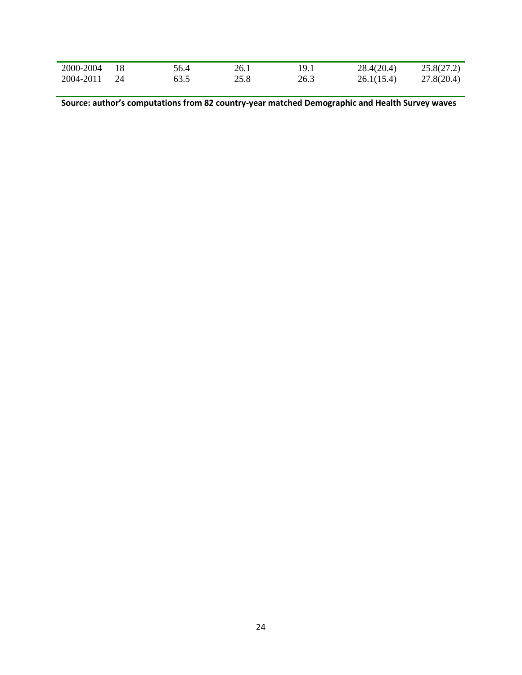| 2000-2004 |    | 56.4 | 26.1 | 19.1 | 28.4(20.4) | 25.8(27.2) |
|-----------|----|------|------|------|------------|------------|
| 2004-2011 | 24 | 63.5 | 25.8 | 26.3 | 26.1(15.4) | 27.8(20.4) |

**Source: author's computations from 82 country-year matched Demographic and Health Survey waves**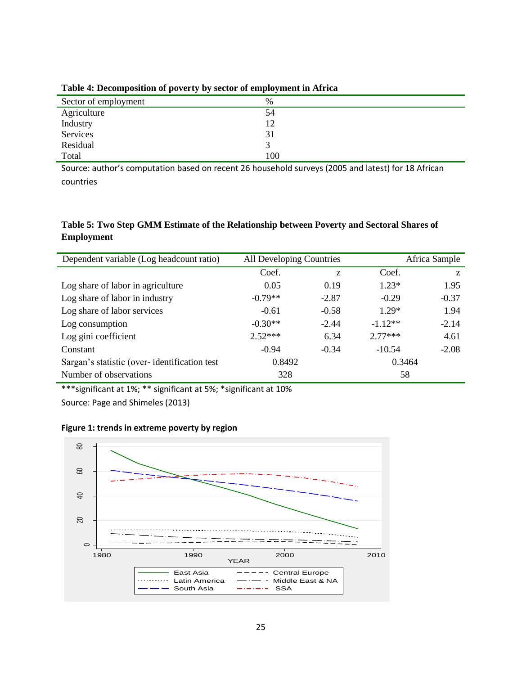| Sector of employment | %   |
|----------------------|-----|
| Agriculture          | 54  |
| Industry             | 12  |
| Services             | 31  |
| Residual             | J   |
| Total                | 100 |

**Table 4: Decomposition of poverty by sector of employment in Africa**

Source: author's computation based on recent 26 household surveys (2005 and latest) for 18 African countries

### **Table 5: Two Step GMM Estimate of the Relationship between Poverty and Sectoral Shares of Employment**

| Dependent variable (Log headcount ratio)      | All Developing Countries |         | Africa Sample |         |
|-----------------------------------------------|--------------------------|---------|---------------|---------|
|                                               | Coef.                    | Z       | Coef.         | Z       |
| Log share of labor in agriculture             | 0.05                     | 0.19    | $1.23*$       | 1.95    |
| Log share of labor in industry                | $-0.79**$                | $-2.87$ | $-0.29$       | $-0.37$ |
| Log share of labor services                   | $-0.61$                  | $-0.58$ | $1.29*$       | 1.94    |
| Log consumption                               | $-0.30**$                | $-2.44$ | $-1.12**$     | $-2.14$ |
| Log gini coefficient                          | $2.52***$                | 6.34    | $2.77***$     | 4.61    |
| Constant                                      | $-0.94$                  | $-0.34$ | $-10.54$      | $-2.08$ |
| Sargan's statistic (over-identification test) | 0.8492                   |         | 0.3464        |         |
| Number of observations                        | 328                      |         | 58            |         |

\*\*\*significant at 1%; \*\* significant at 5%; \*significant at 10%

Source: Page and Shimeles (2013)



#### **Figure 1: trends in extreme poverty by region**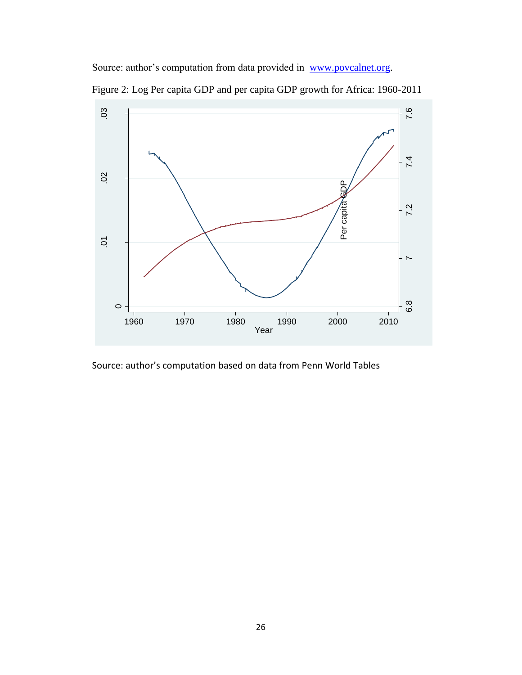Source: author's computation from data provided in [www.povcalnet.org.](http://www.povcalnet.org/)





Source: author's computation based on data from Penn World Tables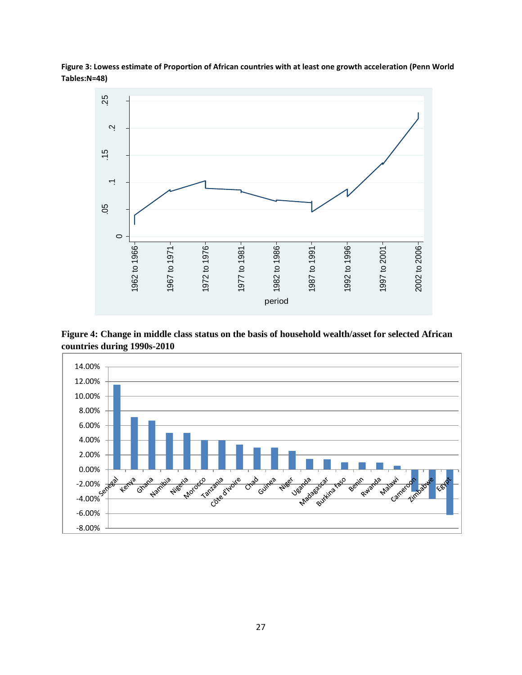



**Figure 4: Change in middle class status on the basis of household wealth/asset for selected African countries during 1990s-2010**

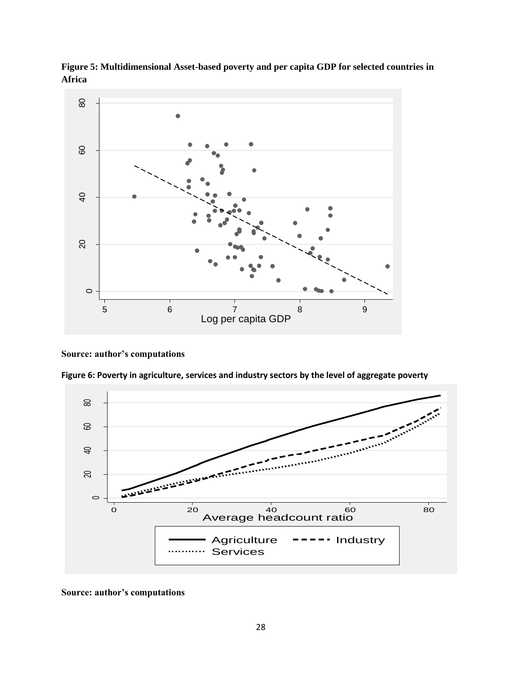

**Figure 5: Multidimensional Asset-based poverty and per capita GDP for selected countries in Africa**

**Source: author's computations**

**Figure 6: Poverty in agriculture, services and industry sectors by the level of aggregate poverty**



**Source: author's computations**